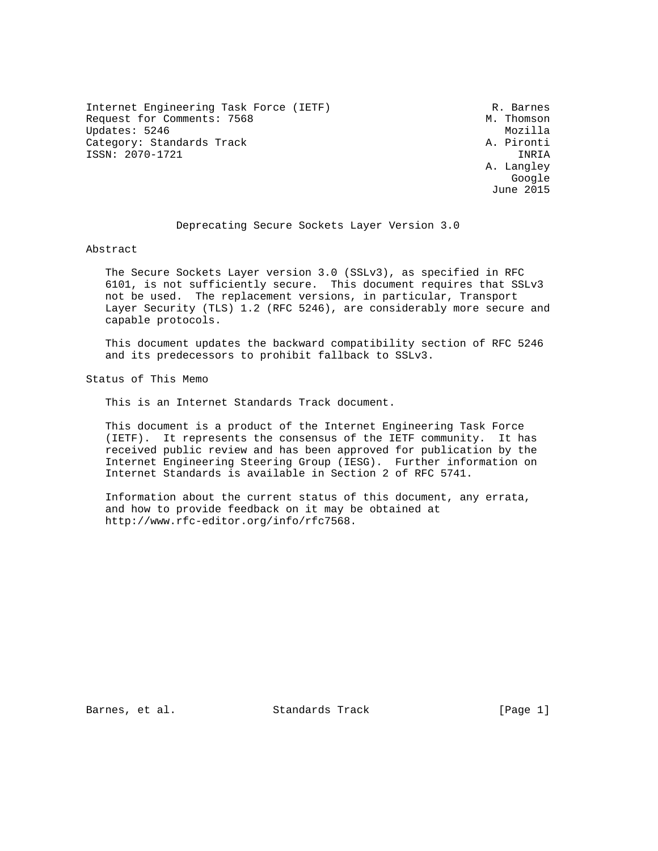Internet Engineering Task Force (IETF) R. Barnes Request for Comments: 7568 M. Thomson Updates: 5246 Mozilla Category: Standards Track A. Pironti ISSN: 2070-1721 INRIA

 A. Langley google is a straightforward of the control of the control of the control of the control of the control of the c June 2015

## Deprecating Secure Sockets Layer Version 3.0

Abstract

 The Secure Sockets Layer version 3.0 (SSLv3), as specified in RFC 6101, is not sufficiently secure. This document requires that SSLv3 not be used. The replacement versions, in particular, Transport Layer Security (TLS) 1.2 (RFC 5246), are considerably more secure and capable protocols.

 This document updates the backward compatibility section of RFC 5246 and its predecessors to prohibit fallback to SSLv3.

Status of This Memo

This is an Internet Standards Track document.

 This document is a product of the Internet Engineering Task Force (IETF). It represents the consensus of the IETF community. It has received public review and has been approved for publication by the Internet Engineering Steering Group (IESG). Further information on Internet Standards is available in Section 2 of RFC 5741.

 Information about the current status of this document, any errata, and how to provide feedback on it may be obtained at http://www.rfc-editor.org/info/rfc7568.

Barnes, et al. Standards Track [Page 1]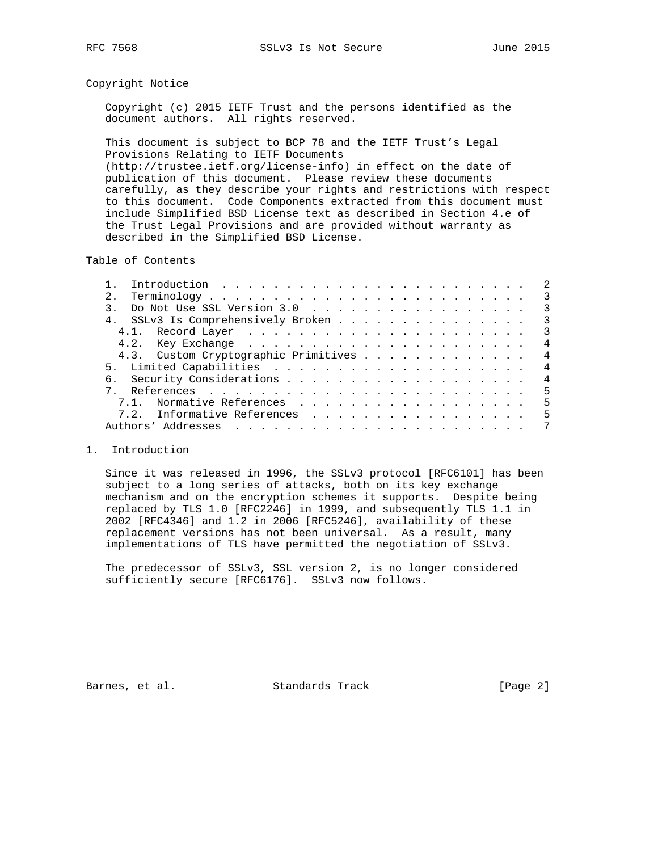### Copyright Notice

 Copyright (c) 2015 IETF Trust and the persons identified as the document authors. All rights reserved.

 This document is subject to BCP 78 and the IETF Trust's Legal Provisions Relating to IETF Documents (http://trustee.ietf.org/license-info) in effect on the date of publication of this document. Please review these documents carefully, as they describe your rights and restrictions with respect to this document. Code Components extracted from this document must include Simplified BSD License text as described in Section 4.e of the Trust Legal Provisions and are provided without warranty as described in the Simplified BSD License.

Table of Contents

|  |                                                                                |  |  |  |  |  |  |  |  |  |  |  |  | $\overline{2}$             |
|--|--------------------------------------------------------------------------------|--|--|--|--|--|--|--|--|--|--|--|--|----------------------------|
|  | $Terminology \ldots \ldots \ldots \ldots \ldots \ldots \ldots \ldots \ldots 3$ |  |  |  |  |  |  |  |  |  |  |  |  |                            |
|  | Do Not Use SSL Version 3.0 3                                                   |  |  |  |  |  |  |  |  |  |  |  |  |                            |
|  | 4. SSLv3 Is Comprehensively Broken                                             |  |  |  |  |  |  |  |  |  |  |  |  | $\overline{\phantom{a}}$ 3 |
|  |                                                                                |  |  |  |  |  |  |  |  |  |  |  |  | $\overline{\mathbf{3}}$    |
|  |                                                                                |  |  |  |  |  |  |  |  |  |  |  |  | $\overline{4}$             |
|  | 4.3. Custom Cryptographic Primitives                                           |  |  |  |  |  |  |  |  |  |  |  |  | $\overline{4}$             |
|  |                                                                                |  |  |  |  |  |  |  |  |  |  |  |  | $\overline{4}$             |
|  |                                                                                |  |  |  |  |  |  |  |  |  |  |  |  | $\overline{4}$             |
|  |                                                                                |  |  |  |  |  |  |  |  |  |  |  |  | -5                         |
|  | 7.1. Normative References                                                      |  |  |  |  |  |  |  |  |  |  |  |  | - 5                        |
|  | 7.2. Informative References                                                    |  |  |  |  |  |  |  |  |  |  |  |  | -5                         |
|  |                                                                                |  |  |  |  |  |  |  |  |  |  |  |  | 7                          |

### 1. Introduction

 Since it was released in 1996, the SSLv3 protocol [RFC6101] has been subject to a long series of attacks, both on its key exchange mechanism and on the encryption schemes it supports. Despite being replaced by TLS 1.0 [RFC2246] in 1999, and subsequently TLS 1.1 in 2002 [RFC4346] and 1.2 in 2006 [RFC5246], availability of these replacement versions has not been universal. As a result, many implementations of TLS have permitted the negotiation of SSLv3.

 The predecessor of SSLv3, SSL version 2, is no longer considered sufficiently secure [RFC6176]. SSLv3 now follows.

Barnes, et al. Standards Track [Page 2]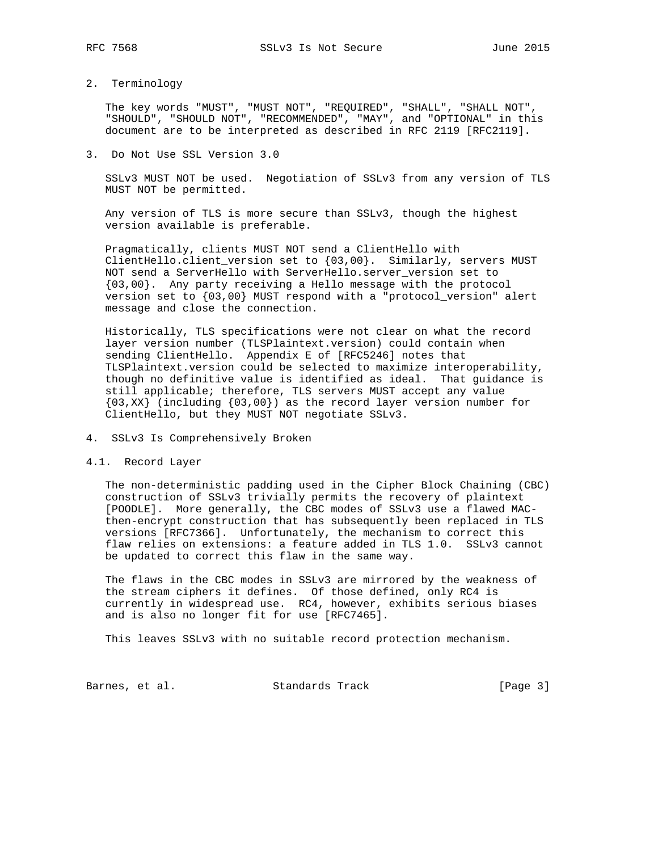# 2. Terminology

 The key words "MUST", "MUST NOT", "REQUIRED", "SHALL", "SHALL NOT", "SHOULD", "SHOULD NOT", "RECOMMENDED", "MAY", and "OPTIONAL" in this document are to be interpreted as described in RFC 2119 [RFC2119].

### 3. Do Not Use SSL Version 3.0

 SSLv3 MUST NOT be used. Negotiation of SSLv3 from any version of TLS MUST NOT be permitted.

 Any version of TLS is more secure than SSLv3, though the highest version available is preferable.

 Pragmatically, clients MUST NOT send a ClientHello with ClientHello.client\_version set to {03,00}. Similarly, servers MUST NOT send a ServerHello with ServerHello.server\_version set to {03,00}. Any party receiving a Hello message with the protocol version set to {03,00} MUST respond with a "protocol\_version" alert message and close the connection.

 Historically, TLS specifications were not clear on what the record layer version number (TLSPlaintext.version) could contain when sending ClientHello. Appendix E of [RFC5246] notes that TLSPlaintext.version could be selected to maximize interoperability, though no definitive value is identified as ideal. That guidance is still applicable; therefore, TLS servers MUST accept any value {03,XX} (including {03,00}) as the record layer version number for ClientHello, but they MUST NOT negotiate SSLv3.

- 4. SSLv3 Is Comprehensively Broken
- 4.1. Record Layer

 The non-deterministic padding used in the Cipher Block Chaining (CBC) construction of SSLv3 trivially permits the recovery of plaintext [POODLE]. More generally, the CBC modes of SSLv3 use a flawed MAC then-encrypt construction that has subsequently been replaced in TLS versions [RFC7366]. Unfortunately, the mechanism to correct this flaw relies on extensions: a feature added in TLS 1.0. SSLv3 cannot be updated to correct this flaw in the same way.

 The flaws in the CBC modes in SSLv3 are mirrored by the weakness of the stream ciphers it defines. Of those defined, only RC4 is currently in widespread use. RC4, however, exhibits serious biases and is also no longer fit for use [RFC7465].

This leaves SSLv3 with no suitable record protection mechanism.

Barnes, et al. Standards Track [Page 3]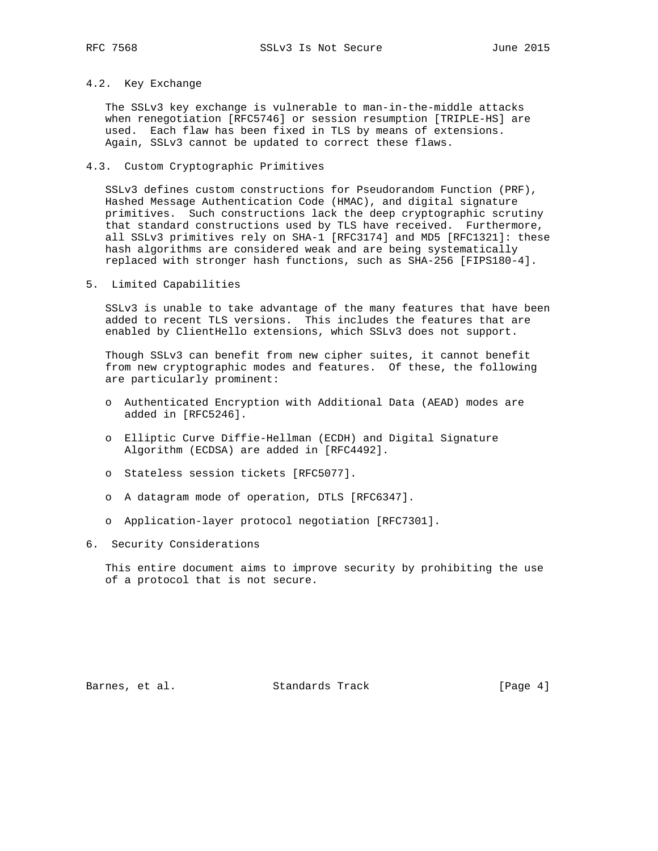## 4.2. Key Exchange

 The SSLv3 key exchange is vulnerable to man-in-the-middle attacks when renegotiation [RFC5746] or session resumption [TRIPLE-HS] are used. Each flaw has been fixed in TLS by means of extensions. Again, SSLv3 cannot be updated to correct these flaws.

### 4.3. Custom Cryptographic Primitives

 SSLv3 defines custom constructions for Pseudorandom Function (PRF), Hashed Message Authentication Code (HMAC), and digital signature primitives. Such constructions lack the deep cryptographic scrutiny that standard constructions used by TLS have received. Furthermore, all SSLv3 primitives rely on SHA-1 [RFC3174] and MD5 [RFC1321]: these hash algorithms are considered weak and are being systematically replaced with stronger hash functions, such as SHA-256 [FIPS180-4].

5. Limited Capabilities

 SSLv3 is unable to take advantage of the many features that have been added to recent TLS versions. This includes the features that are enabled by ClientHello extensions, which SSLv3 does not support.

 Though SSLv3 can benefit from new cipher suites, it cannot benefit from new cryptographic modes and features. Of these, the following are particularly prominent:

- o Authenticated Encryption with Additional Data (AEAD) modes are added in [RFC5246].
- o Elliptic Curve Diffie-Hellman (ECDH) and Digital Signature Algorithm (ECDSA) are added in [RFC4492].
- o Stateless session tickets [RFC5077].
- o A datagram mode of operation, DTLS [RFC6347].
- o Application-layer protocol negotiation [RFC7301].
- 6. Security Considerations

 This entire document aims to improve security by prohibiting the use of a protocol that is not secure.

Barnes, et al. Standards Track [Page 4]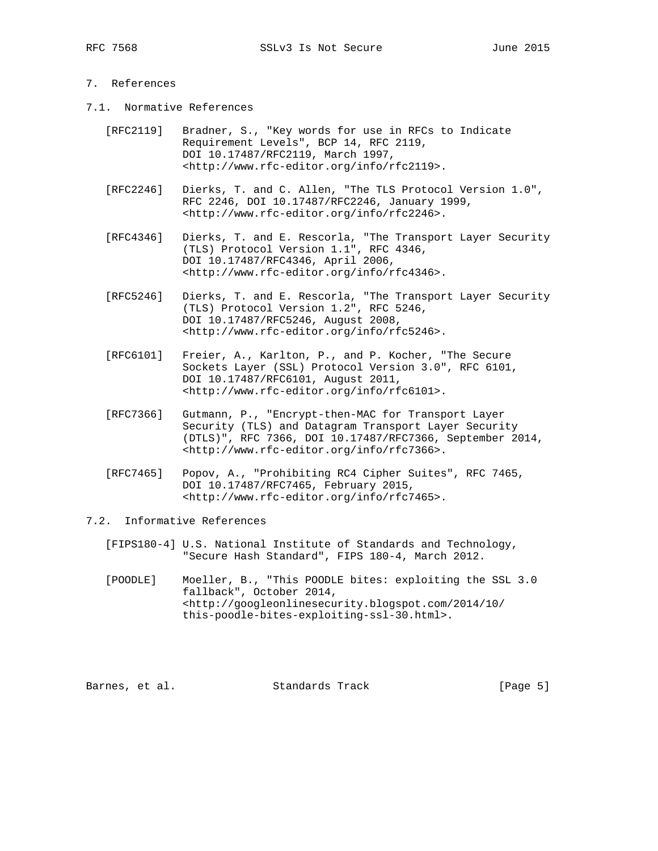# 7. References

- 7.1. Normative References
	- [RFC2119] Bradner, S., "Key words for use in RFCs to Indicate Requirement Levels", BCP 14, RFC 2119, DOI 10.17487/RFC2119, March 1997, <http://www.rfc-editor.org/info/rfc2119>.
	- [RFC2246] Dierks, T. and C. Allen, "The TLS Protocol Version 1.0", RFC 2246, DOI 10.17487/RFC2246, January 1999, <http://www.rfc-editor.org/info/rfc2246>.
- [RFC4346] Dierks, T. and E. Rescorla, "The Transport Layer Security (TLS) Protocol Version 1.1", RFC 4346, DOI 10.17487/RFC4346, April 2006, <http://www.rfc-editor.org/info/rfc4346>.
	- [RFC5246] Dierks, T. and E. Rescorla, "The Transport Layer Security (TLS) Protocol Version 1.2", RFC 5246, DOI 10.17487/RFC5246, August 2008, <http://www.rfc-editor.org/info/rfc5246>.
	- [RFC6101] Freier, A., Karlton, P., and P. Kocher, "The Secure Sockets Layer (SSL) Protocol Version 3.0", RFC 6101, DOI 10.17487/RFC6101, August 2011, <http://www.rfc-editor.org/info/rfc6101>.
	- [RFC7366] Gutmann, P., "Encrypt-then-MAC for Transport Layer Security (TLS) and Datagram Transport Layer Security (DTLS)", RFC 7366, DOI 10.17487/RFC7366, September 2014, <http://www.rfc-editor.org/info/rfc7366>.
	- [RFC7465] Popov, A., "Prohibiting RC4 Cipher Suites", RFC 7465, DOI 10.17487/RFC7465, February 2015, <http://www.rfc-editor.org/info/rfc7465>.

## 7.2. Informative References

- [FIPS180-4] U.S. National Institute of Standards and Technology, "Secure Hash Standard", FIPS 180-4, March 2012.
- [POODLE] Moeller, B., "This POODLE bites: exploiting the SSL 3.0 fallback", October 2014, <http://googleonlinesecurity.blogspot.com/2014/10/ this-poodle-bites-exploiting-ssl-30.html>.

Barnes, et al. Standards Track [Page 5]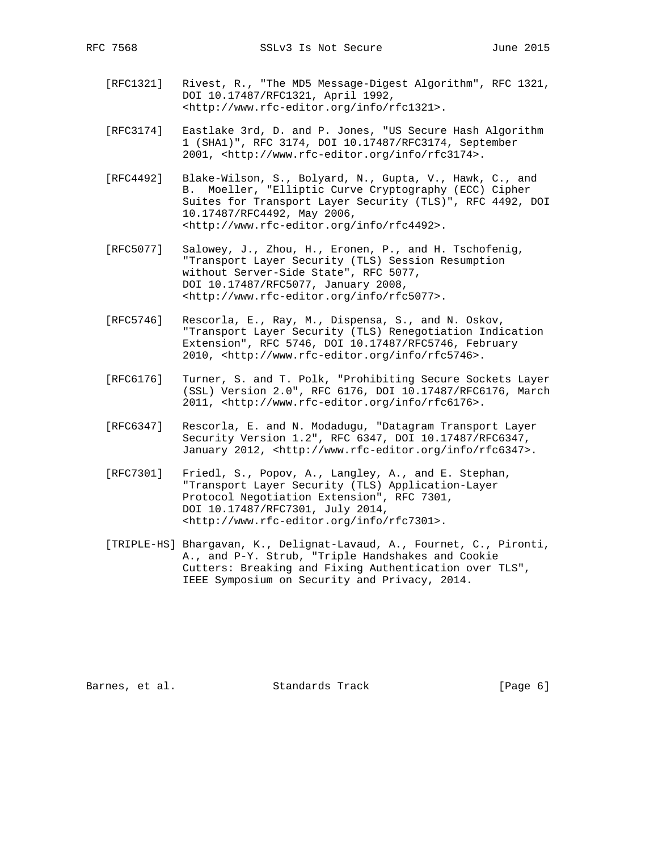- [RFC1321] Rivest, R., "The MD5 Message-Digest Algorithm", RFC 1321, DOI 10.17487/RFC1321, April 1992, <http://www.rfc-editor.org/info/rfc1321>.
- [RFC3174] Eastlake 3rd, D. and P. Jones, "US Secure Hash Algorithm 1 (SHA1)", RFC 3174, DOI 10.17487/RFC3174, September 2001, <http://www.rfc-editor.org/info/rfc3174>.
- [RFC4492] Blake-Wilson, S., Bolyard, N., Gupta, V., Hawk, C., and B. Moeller, "Elliptic Curve Cryptography (ECC) Cipher Suites for Transport Layer Security (TLS)", RFC 4492, DOI 10.17487/RFC4492, May 2006, <http://www.rfc-editor.org/info/rfc4492>.
- [RFC5077] Salowey, J., Zhou, H., Eronen, P., and H. Tschofenig, "Transport Layer Security (TLS) Session Resumption without Server-Side State", RFC 5077, DOI 10.17487/RFC5077, January 2008, <http://www.rfc-editor.org/info/rfc5077>.
- [RFC5746] Rescorla, E., Ray, M., Dispensa, S., and N. Oskov, "Transport Layer Security (TLS) Renegotiation Indication Extension", RFC 5746, DOI 10.17487/RFC5746, February 2010, <http://www.rfc-editor.org/info/rfc5746>.
- [RFC6176] Turner, S. and T. Polk, "Prohibiting Secure Sockets Layer (SSL) Version 2.0", RFC 6176, DOI 10.17487/RFC6176, March 2011, <http://www.rfc-editor.org/info/rfc6176>.
- [RFC6347] Rescorla, E. and N. Modadugu, "Datagram Transport Layer Security Version 1.2", RFC 6347, DOI 10.17487/RFC6347, January 2012, <http://www.rfc-editor.org/info/rfc6347>.
- [RFC7301] Friedl, S., Popov, A., Langley, A., and E. Stephan, "Transport Layer Security (TLS) Application-Layer Protocol Negotiation Extension", RFC 7301, DOI 10.17487/RFC7301, July 2014, <http://www.rfc-editor.org/info/rfc7301>.
- [TRIPLE-HS] Bhargavan, K., Delignat-Lavaud, A., Fournet, C., Pironti, A., and P-Y. Strub, "Triple Handshakes and Cookie Cutters: Breaking and Fixing Authentication over TLS", IEEE Symposium on Security and Privacy, 2014.

Barnes, et al. Standards Track [Page 6]